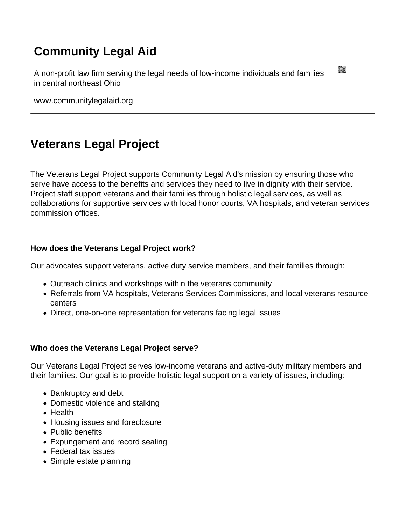## [Community Legal Aid](https://www.communitylegalaid.org/)

A non-profit law firm serving the legal needs of low-income individuals and families in central northeast Ohio

www.communitylegalaid.org

## [Veterans Legal Project](https://www.communitylegalaid.org/vet)

The Veterans Legal Project supports Community Legal Aid's mission by ensuring those who serve have access to the benefits and services they need to live in dignity with their service. Project staff support veterans and their families through holistic legal services, as well as collaborations for supportive services with local honor courts, VA hospitals, and veteran services commission offices.

How does the Veterans Legal Project work?

Our advocates support veterans, active duty service members, and their families through:

- Outreach clinics and workshops within the veterans community
- Referrals from VA hospitals, Veterans Services Commissions, and local veterans resource centers
- Direct, one-on-one representation for veterans facing legal issues

Who does the Veterans Legal Project serve?

Our Veterans Legal Project serves low-income veterans and active-duty military members and their families. Our goal is to provide holistic legal support on a variety of issues, including:

- Bankruptcy and debt
- Domestic violence and stalking
- Health
- Housing issues and foreclosure
- Public benefits
- Expungement and record sealing
- Federal tax issues
- Simple estate planning